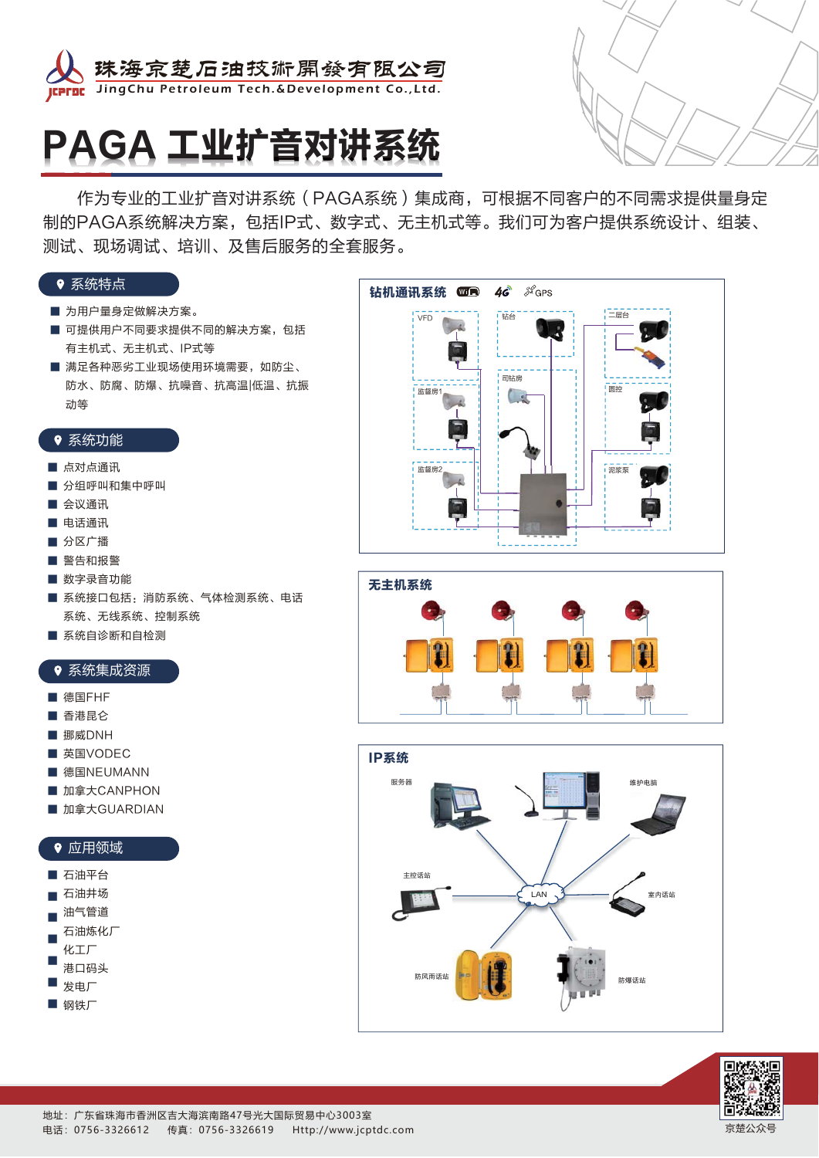

# PAGA 工业扩音对讲系统

作为专业的工业扩音对讲系统(PAGA系统)集成商,可根据不同客户的不同需求提供量身定 制的PAGA系统解决方案,包括IP式、数字式、无主机式等。我们可为客户提供系统设计、组装、 测试、现场调试、培训、及售后服务的全套服务。

## •系统特点

- 为用户量身定做解决方案。
- 可提供用户不同要求提供不同的解决方案,包括 有主机式、无主机式、IP式等
- 满足各种恶劣工业现场使用环境需要,如防尘、 防水、防腐、防爆、抗噪音、抗高温|低温、抗振 动等

### • 系统功能

- 点对点通讯
- 分组呼叫和集中呼叫
- 会议通讯
- 电话通讯
- 分区广播
- 警告和报警
- 数字录音功能
- 系统接口包括: 消防系统、气体检测系统、电话 系统、无线系统、控制系统
- 系统自诊断和自检测

### • 系统集成资源

- 德国FHF
- 香港昆仑
- 挪威DNH
- 英国VODEC
- **德国NEUMANN**
- 加拿大CANPHON
- 加拿大GUARDIAN

### • 应用领域

- 石油平台
- $\blacksquare$  石油井场
- 油气管道
- 石油炼化厂 ȋ
- 化工厂 ȋ
- 港口码头 ȋ
- 发电厂 ȋ
- 钢铁厂